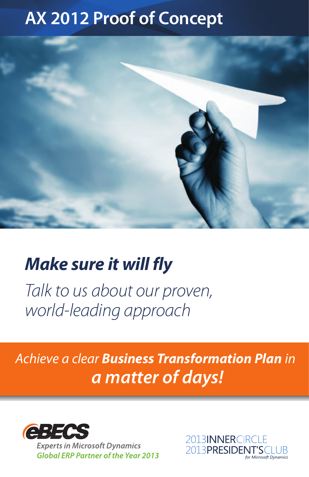# **AX 2012 Proof of Concept**



# **Make sure it will fly**

Talk to us about our proven, world-leading approach

## Achieve a clear **Business Transformation Plan** in **a matter of days!**



**Experts in Microsoft Dynamics Global ERP Partner of the Year 2013**